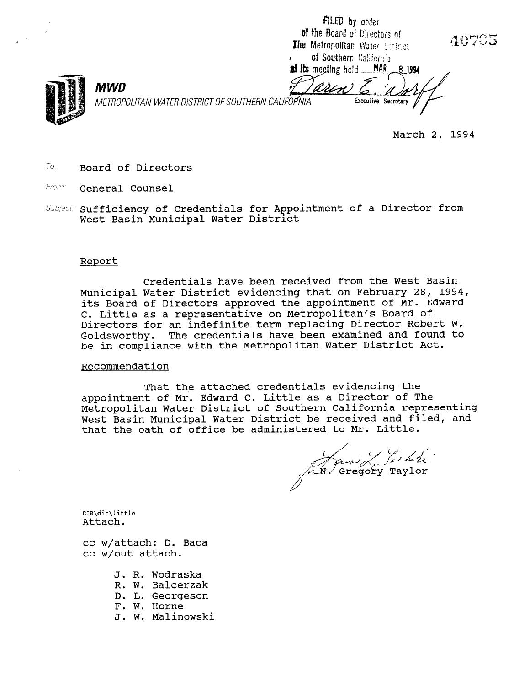FILED by order of the Board of Directors of 40705 The Metropolitan Water Plate at f, of Southern California at its meeting held \_\_\_MAR **MWD** 6. METROPOLITAN WATER DISTRICT OF SOUTHERN Executive Secretary



March 2, 1994

- $To.$  Board of Directors
- From General Counsel
- Subject: Sufficiency of Credentials for Appointment of a Director from West Basin Municipal Water District

#### Report

Credentials have been received from the West Basin Municipal Water District evidencing that on February 28, 1994, its Board of Directors approved the appointment of Mr. Edward C. Little as a representative on Metropolitan's Board of Directors for an indefinite term replacing Director Robert W. Goldsworthy. The credentials have been examined and found to be in compliance with the Metropolitan Water District Act.

#### Recommendation

That the attached credentials evidencing the appointment of Mr. Edward C. Little as a Director of The Metropolitan Water District of Southern California representing West Basin Municipal Water District be received and filed, and that the oath of office be administered to Mr. Little.

And Lichen

cir\dir\<br>Attac

cc w/attach: D. Baca cc w/out attach.

- J. R. Wodraska J. K. WOULASK<br>D. W. Balcerz
- R. W. Ddicerzd<br>D. L. Georges
- D. L. Georgeson
- 
- F. W. Horne<br>J. W. Malinowski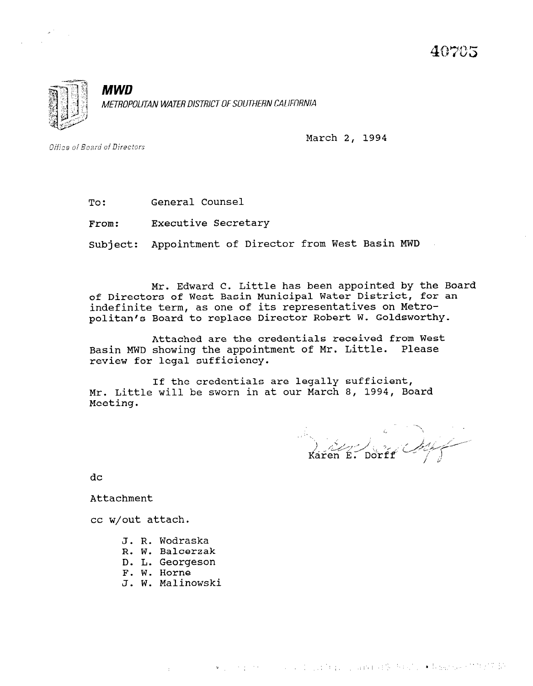

**MWD** METROPOLITAN WATER DISTRICT OF SOUTHERN CALIFORNIA

March 2, 1994

Office of Board of Directors

To: General Counsel

From: Executive Secretary

Subject: Appointment of Director from West Basin MWD

Mr. Edward C. Little has been appointed by the Board of Directors of West Basin Municipal Water District, for an indefinite term, as one of its representatives on Metropolitical to replace Director Robert W. Goldsworth

Attached are the credentials received from West Basic Muddel and the credentials received from we<br>The approximation of Mr. Little. Please Basin MWD showing the appointment of Mr. Little. Please review for legal sufficiency.

If the credentials are legally sufficient, If the credentials are legally sufficient, Mr. Little will be sworn in at our March 8, 1994, Board<br>Meeting.

 $\mathbf{r}$  is a set of  $\mathbf{r}$ 

- J. R. Wodraska
- R. W. Balcerzak
- D. L. Georgeson
- F. W. Horne
- J. W. Malinowski

 $\mathcal{L}^{\text{max}}$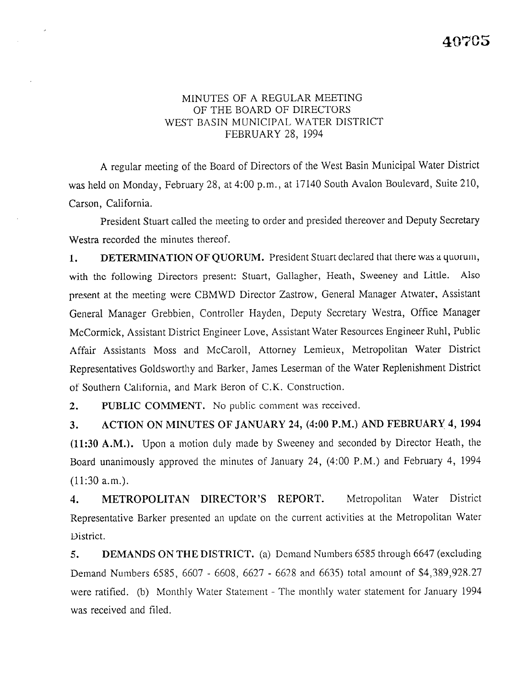# MINUTES OF A REGULAR MEETING OF THE BOARD OF DIRECTORS WEST BASIN MUNICIPAL WATER DISTRICT FEBRUARY 28, 1994

A regular meeting of the Board of Directors of the West Basin Municipal Water District was held on Monday, February 28, at 4:00 p.m., at 17140 South Avalon Boulevard, Suite 210, Carson, California.

President Stuart called the meeting to order and presided thereover and Deputy Secretary Westra recorded the minutes thereof.

1. DETERMINATION OF QUORUM. President Stuart declared that there was a quorum, with the following Directors present: Stuart, Gallagher, Heath, Sweeney and Little. Also present at the meeting were CBMWD Director Zastrow, General Manager Atwater, Assistant General Manager Grebbien, Controller Hayden, Deputy Secretary Westra, Office Manager McCormick, Assistant District Engineer Love, Assistant Water Resources Engineer Ruhl, Public Affair Assistants Moss and McCaroll, Attorney Lemieux, Metropolitan Water District Representatives Goldsworthy and Barker, James Leserman of the Water Replenishment District of Southern California, and Mark Beron of C.K. Construction.

2. PUBLIC COMMENT. No public comment was received.

3. ACTION ON MINUTES OF JANUARY 24, (4:00 P.M.) AND FEBRUARY 4, 1994 (11:30 A.M.). Upon a motion duly made by Sweeney and seconded by Director Heath, the Board unanimously approved the minutes of January 24, (4:00 P.M.) and February 4, 1994 (11:30 a.m.).

4. METROPOLITAN DIRECTOR'S REPORT. Metropolitan Water District Representative Barker presented an update on the current activities at the Metropolitan Water District.

5. DEMANDS ON THE DISTRICT. (a) Demand Numbers 6585 through 6647 (excluding Demand Numbers 6585, 6607 - 6608, 6627 - 6628 and 6635) total amount of \$4,389,928.27 were ratified. (b) Monthly Water Statement - The monthly water statement for January 1994 was received and filed.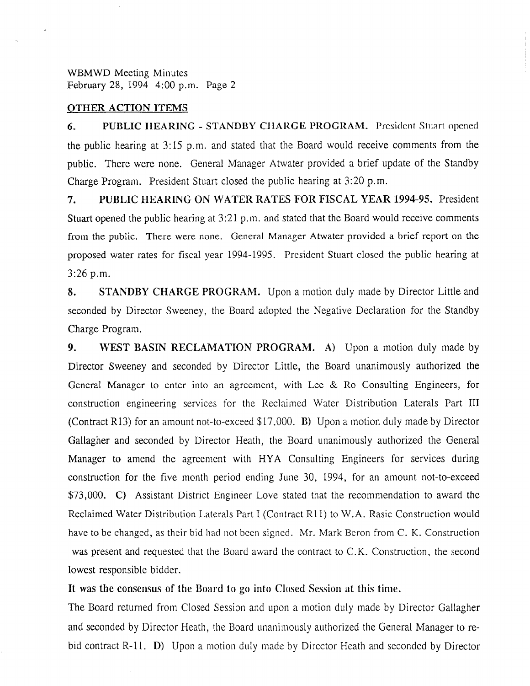#### OTHER ACTION ITEMS

6. PUBLIC IIEARINC - STANDBY CIIARCE PROGRAM. President Stuart opened the public hearing at 3:15 p.m. and stated that the Board would receive comments from the public. There were none. General Manager Atwater provided a brief update of the Standby Charge Program. President Stuart closed the public hearing at 3:20 p.m.

7. PUBLIC HEARING ON WATER RATES FOR FISCAL YEAR 1994-95. President Stuart opened the public hearing at 3:21 p.m. and stated that the Board would receive comments from the public. There were none. General Manager Atwater provided a brief report on the proposed water rates for fiscal year 1994- 1995. President Stuart closed the public hearing at 3:26 p.m.

8. STANDBY CHARGE PROGRAM. Upon a motion duly made by Director Little and seconded by Director Sweeney, the Board adopted the Negative Declaration for the Standby Charge Program.

9. WEST BASIN RECLAMATION PROGRAM. A) Upon a motion duly made by Director Sweeney and seconded by Director Little, the Board unanimously authorized the General Manager to enter into an agreement, with Lee & Ro Consulting Engineers, for construction engineering services for the Reclaimed Water Distribution Laterals Part III (Contract R13) for an amount not-to-exceed \$17,000. B) Upon a motion duly made by Director Gallagher and seconded by Director Heath, the Board unanimously authorized the General Manager to amend the agreement with HYA Consulting Engineers for services during construction for the five month period ending June 30, 1994, for an amount not-to-exceed \$73,000. C) Assistant District Engineer Love stated that the recommendation to award the Reclaimed Water Distribution Laterals Part I (Contract Rll) to W.A. Rasic Construction would have to be changed, as their bid had not been signed. Mr. Mark Beron from C. K. Construction was present and requested that the Board award the contract to C.K. Construction, the second lowest responsible bidder.

#### It was the consensus of the Board to go into Closed Session at this time.

The Board returned from Closed Session and upon a motion duly made by Director Gallagher and seconded by Director Heath, the Board unanimously authorized the General Manager to rebid contract R-11. D) Upon a motion duly made by Director Heath and seconded by Director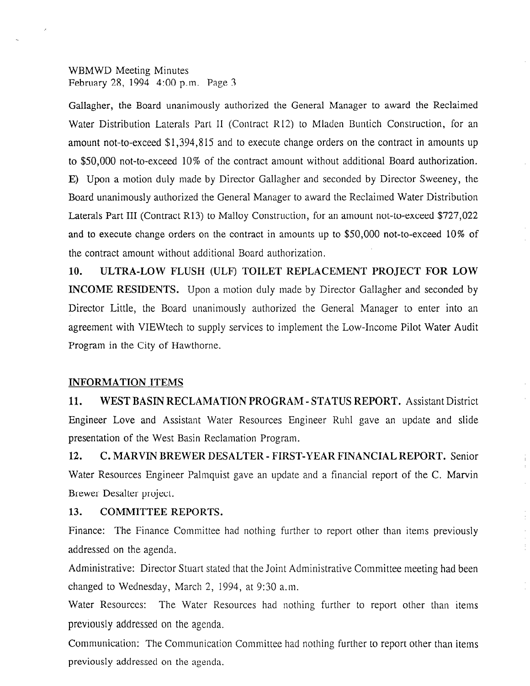Gallagher, the Board unanimously authorized the General Manager to award the Reclaimed Water Distribution Laterals Part II (Contract R12) to Mladen Buntich Construction, for an amount not-to-exceed \$1,394,815 and to execute change orders on the contract in amounts up to \$50,000 not-to-exceed 10% of the contract amount without additional Board authorization. E) Upon a motion duly made by Director Gallagher and seconded by Director Sweeney, the Board unanimously authorized the General Manager to award the Reclaimed Water Distribution Laterals Part III (Contract R13) to Malloy Construction, for an amount not-to-exceed \$727,022 and to execute change orders on the contract in amounts up to \$50,000 not-to-exceed 10% of the contract amount without additional Board authorization.

10. ULTRA-LOW FLUSH (ULF) TOILET REPLACEMENT PROJECT FOR LOW INCOME RESIDENTS. Upon a motion duly made by Director Gallagher and seconded by Director Little, the Board unanimously authorized the General Manager to enter into an agreement with VIEWtech to supply services to implement the Low-Income Pilot Water Audit Program in the City of Hawthorne.

## INFORMATION ITEMS

11. WEST BASIN RECLAMATION PROGRAM - STATUS REPORT. Assistant District Engineer Love and Assistant Water Resources Engineer Ruhl gave an update and slide presentation of the West Basin Reclamation Program.

12. C. MARVIN BREWER DESALTER - FIRST-YEAR FINANCIAL REPORT. Senior Water Resources Engineer Palmquist gave an update and a financial report of the C. Marvin Brewer Desalter project.

## 13. COMMITTEE REPORTS.

Finance: The Finance Committee had nothing further to report other than items previously addressed on the agenda.

Administrative: Director Stuart stated that the Joint Administrative Committee meeting had been changed to Wednesday, March 2, 1994, at 9:30 a.m.

Water Resources: The Water Resources had nothing further to report other than items previously addressed on the agenda.

Communication: The Communication Committee had nothing further to report other than items previously addressed on the agenda.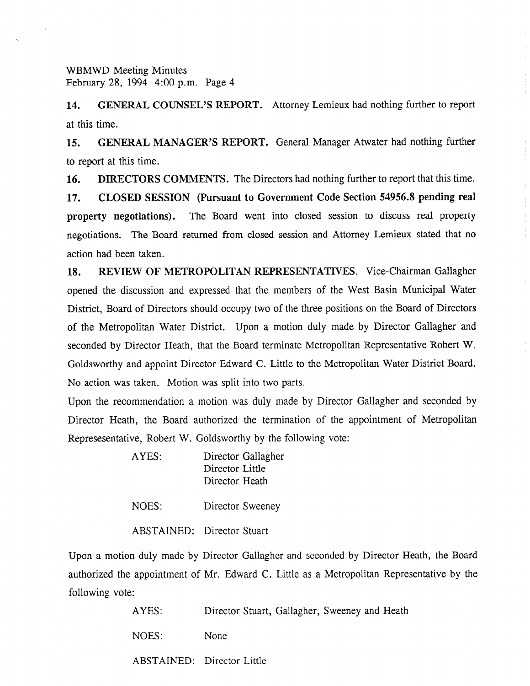14. GENERAL COUNSEL'S REPORT. Attorney Lemieux had nothing further to report at this time.

15. GENERAL MANAGER'S REPORT. General Manager Atwater had nothing further to report at this time.

16. DIRECTORS COMMENTS. The Directors had nothing further to report that this time.

17. CLOSED SESSION (Pursuant to Government Code Section 54956.8 pending real property negotiations). The Board went into closed session to discuss real property negotiations. The Board returned from closed session and Attorney Lemieux stated that no action had been taken.

18. REVIEW OF METROPOLITAN REPRESENTATIVES. Vice-Chairman Gallagher opened the discussion and expressed that the members of the West Basin Municipal Water District, Board of Directors should occupy two of the three positions on the Board of Directors of the Metropolitan Water District. Upon a motion duly made by Director Gallagher and seconded by Director Heath, that the Board terminate Metropolitan Representative Robert W. Goldsworthy and appoint Director Edward C. Little to the Metropolitan Water District Board. No action was taken. Motion was split into two parts.

Upon the recommendation a motion was duly made by Director Gallagher and seconded by Director Heath, the Board authorized the termination of the appointment of Metropolitan Represesentative, Robert W. Goldsworthy by the following vote:

| AYES: | Director Gallagher |
|-------|--------------------|
|       | Director Little    |
|       | Director Heath     |
|       |                    |

NOES: Director Sweeney

ABSTAINED: Director Stuart

Upon a motion duly made by Director Gallagher and seconded by Director Heath, the Board authorized the appointment of Mr. Edward C. Little as a Metropolitan Representative by the following vote:

| AYES: | Director Stuart, Gallagher, Sweeney and Heath |
|-------|-----------------------------------------------|
| NOES: | None                                          |
|       | ABSTAINED: Director Little                    |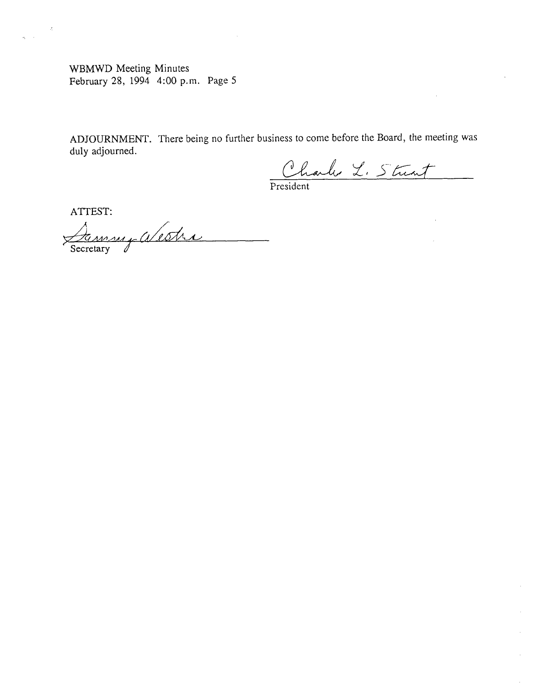ADJOURNMENT. There being no further business to come before the Board, the meeting was duly adjourned.

Charles L. Strent

President

ATTEST:

 $\sim$   $z$ 

 $\tilde{q}_1 = 1$ 

Jammy alestre Secretary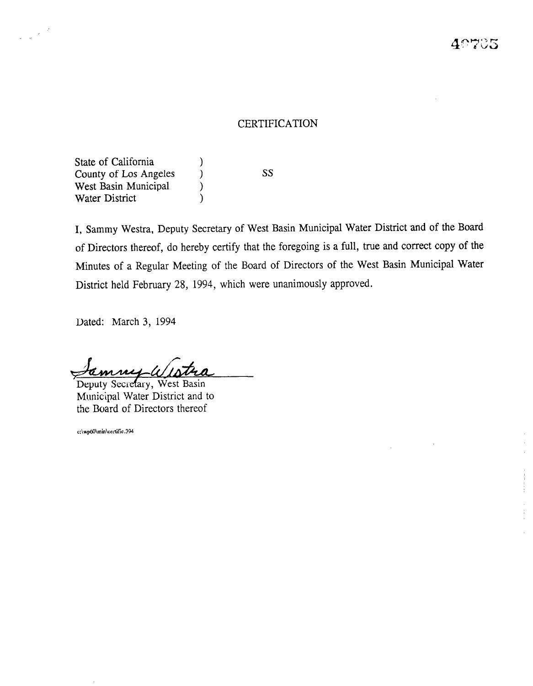## CERTIFICATION

State of California (1) County of Los Angeles (SS) West Basin Municipal (b) Water District (1)

 $\label{eq:2} \frac{1}{\sqrt{2\pi}}\frac{1}{\sqrt{2\pi}}\frac{d^2}{dx^2}$ 

I, Sammy Westra, Deputy Secretary of West Basin Municipal Water District and of the Board of Directors thereof, do hereby certify that the foregoing is a full, true and correct copy of the Minutes of a Regular Meeting of the Board of Directors of the West Basin Municipal Water District held February 28, 1994, which were unanimously approved.

Dated: March 3, 1994

Deputy Secretary, West Basin Municipal Water District and to<br>the Board of Directors thereof

c:\wp60\min\certific.394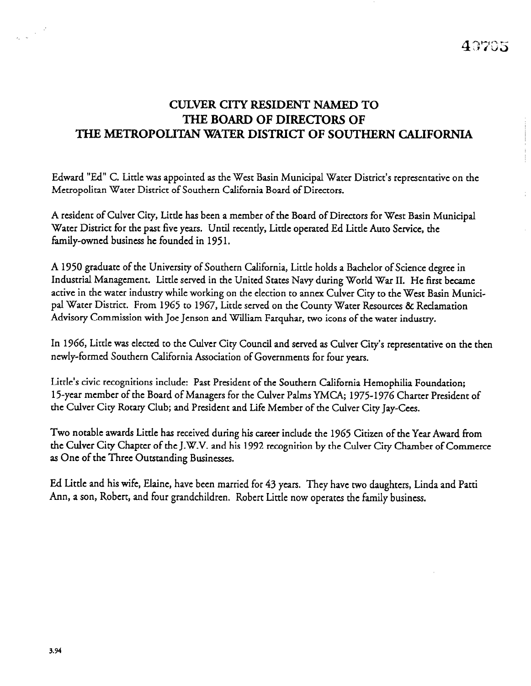# CUIYER CITY RESIDENT NAMED TO THE BOARD OF DIRECTORS OF THE METROPOLITAN WATER DISTRICT OF SOUTHERN CALIFORNIA

Edward "Ed" C. Little was appointed as the West Basin Municipal Water District's representative on the Metropolitan Water District of Southern California Board of Directors.

A resident of Culver City, Little has been a member of the Board of Directors for West Basin Municipal Water District for the past five years. Until recently, Little operated Ed Little Auto Service, the family-owned business he founded in 1951.

A 1950 graduate of the University of Southern California, Little holds a Bachelor of Science degree in Industrial Management. Little served in the United States Navy during World War II. He first became active in the water industry while working on the election to annex Culver City to the West Basin Municipal Water District. From 1965 to 1967, Little served on the County Water Resources & Reclamation Advisory Commission with Joe Jenson and William Farquhar, two icons of the water industry.

In 1966, Little was elected to the Culver City Council and served as Culver City's representative on the then newly-formed Southern California Association of Governments for four years.

Little's civic recognitions include: Past President of the Southern California Hemophilia Foundation; 15-year member of the Board of Managers for the Culver Palms YMCA; 1975-1976 Charter President of the Culver City Rotary Club; and President and Life Member of the Culver City Jay-Cees.

Two notable awards Little has received during his career include the 1965 Citizen of the Year Award from the Culver City Chapter of the J.W.V. and his 1992 recognition by the Culver City Chamber of Commerce as One of the Three Outstanding Businesses.

Ed Little and his wife, Elaine, have been married for 43 years. They have two daughters, Linda and Patti Ann, a son, Robert, and four grandchildren. Robert Little now operates the family business.

 $\label{eq:2} \frac{1}{2\sqrt{2\pi}}\left|\frac{d}{d\tau}\right|^{2}$